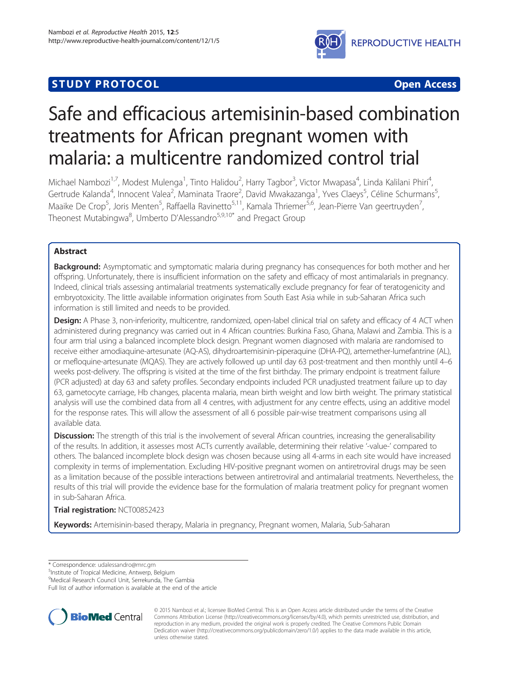## **STUDY PROTOCOL CONSUMING THE CONSUMING OPEN ACCESS**



# Safe and efficacious artemisinin-based combination treatments for African pregnant women with malaria: a multicentre randomized control trial

Michael Nambozi<sup>1,7</sup>, Modest Mulenga<sup>1</sup>, Tinto Halidou<sup>2</sup>, Harry Tagbor<sup>3</sup>, Victor Mwapasa<sup>4</sup>, Linda Kalilani Phiri<sup>4</sup> , Gertrude Kalanda<sup>4</sup>, Innocent Valea<sup>2</sup>, Maminata Traore<sup>2</sup>, David Mwakazanga<sup>1</sup>, Yves Claeys<sup>5</sup>, Céline Schurmans<sup>5</sup> , Maaike De Crop<sup>5</sup>, Joris Menten<sup>5</sup>, Raffaella Ravinetto<sup>5,11</sup>, Kamala Thriemer<sup>5,6</sup>, Jean-Pierre Van geertruyden<sup>7</sup> , Theonest Mutabingwa<sup>8</sup>, Umberto D'Alessandro<sup>5,9,10\*</sup> and Pregact Group

## Abstract

**Background:** Asymptomatic and symptomatic malaria during pregnancy has consequences for both mother and her offspring. Unfortunately, there is insufficient information on the safety and efficacy of most antimalarials in pregnancy. Indeed, clinical trials assessing antimalarial treatments systematically exclude pregnancy for fear of teratogenicity and embryotoxicity. The little available information originates from South East Asia while in sub-Saharan Africa such information is still limited and needs to be provided.

**Design:** A Phase 3, non-inferiority, multicentre, randomized, open-label clinical trial on safety and efficacy of 4 ACT when administered during pregnancy was carried out in 4 African countries: Burkina Faso, Ghana, Malawi and Zambia. This is a four arm trial using a balanced incomplete block design. Pregnant women diagnosed with malaria are randomised to receive either amodiaquine-artesunate (AQ-AS), dihydroartemisinin-piperaquine (DHA-PQ), artemether-lumefantrine (AL), or mefloquine-artesunate (MQAS). They are actively followed up until day 63 post-treatment and then monthly until 4–6 weeks post-delivery. The offspring is visited at the time of the first birthday. The primary endpoint is treatment failure (PCR adjusted) at day 63 and safety profiles. Secondary endpoints included PCR unadjusted treatment failure up to day 63, gametocyte carriage, Hb changes, placenta malaria, mean birth weight and low birth weight. The primary statistical analysis will use the combined data from all 4 centres, with adjustment for any centre effects, using an additive model for the response rates. This will allow the assessment of all 6 possible pair-wise treatment comparisons using all available data.

**Discussion:** The strength of this trial is the involvement of several African countries, increasing the generalisability of the results. In addition, it assesses most ACTs currently available, determining their relative '-value-' compared to others. The balanced incomplete block design was chosen because using all 4-arms in each site would have increased complexity in terms of implementation. Excluding HIV-positive pregnant women on antiretroviral drugs may be seen as a limitation because of the possible interactions between antiretroviral and antimalarial treatments. Nevertheless, the results of this trial will provide the evidence base for the formulation of malaria treatment policy for pregnant women in sub-Saharan Africa.

## Trial registration: [NCT00852423](https://clinicaltrials.gov/ct2/show/NCT00852423)

Keywords: Artemisinin-based therapy, Malaria in pregnancy, Pregnant women, Malaria, Sub-Saharan

\* Correspondence: [udalessandro@mrc.gm](mailto:udalessandro@mrc.gm) <sup>5</sup>

<sup>5</sup>Institute of Tropical Medicine, Antwerp, Belgium

9 Medical Research Council Unit, Serrekunda, The Gambia

Full list of author information is available at the end of the article



© 2015 Nambozi et al.; licensee BioMed Central. This is an Open Access article distributed under the terms of the Creative Commons Attribution License [\(http://creativecommons.org/licenses/by/4.0\)](http://creativecommons.org/licenses/by/4.0), which permits unrestricted use, distribution, and reproduction in any medium, provided the original work is properly credited. The Creative Commons Public Domain Dedication waiver [\(http://creativecommons.org/publicdomain/zero/1.0/](http://creativecommons.org/publicdomain/zero/1.0/)) applies to the data made available in this article, unless otherwise stated.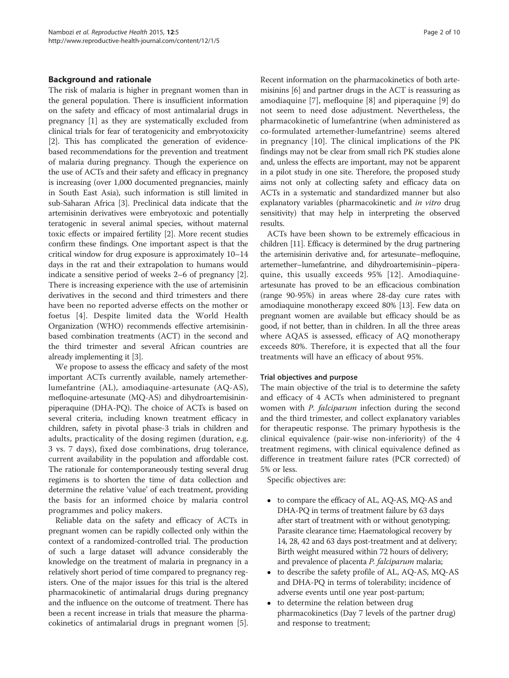#### Background and rationale

The risk of malaria is higher in pregnant women than in the general population. There is insufficient information on the safety and efficacy of most antimalarial drugs in pregnancy [\[1](#page-9-0)] as they are systematically excluded from clinical trials for fear of teratogenicity and embryotoxicity [[2\]](#page-9-0). This has complicated the generation of evidencebased recommendations for the prevention and treatment of malaria during pregnancy. Though the experience on the use of ACTs and their safety and efficacy in pregnancy is increasing (over 1,000 documented pregnancies, mainly in South East Asia), such information is still limited in sub-Saharan Africa [[3](#page-9-0)]. Preclinical data indicate that the artemisinin derivatives were embryotoxic and potentially teratogenic in several animal species, without maternal toxic effects or impaired fertility [\[2](#page-9-0)]. More recent studies confirm these findings. One important aspect is that the critical window for drug exposure is approximately 10–14 days in the rat and their extrapolation to humans would indicate a sensitive period of weeks 2–6 of pregnancy [[2](#page-9-0)]. There is increasing experience with the use of artemisinin derivatives in the second and third trimesters and there have been no reported adverse effects on the mother or foetus [\[4](#page-9-0)]. Despite limited data the World Health Organization (WHO) recommends effective artemisininbased combination treatments (ACT) in the second and the third trimester and several African countries are already implementing it [\[3](#page-9-0)].

We propose to assess the efficacy and safety of the most important ACTs currently available, namely artemetherlumefantrine (AL), amodiaquine-artesunate (AQ-AS), mefloquine-artesunate (MQ-AS) and dihydroartemisininpiperaquine (DHA-PQ). The choice of ACTs is based on several criteria, including known treatment efficacy in children, safety in pivotal phase-3 trials in children and adults, practicality of the dosing regimen (duration, e.g. 3 vs. 7 days), fixed dose combinations, drug tolerance, current availability in the population and affordable cost. The rationale for contemporaneously testing several drug regimens is to shorten the time of data collection and determine the relative 'value' of each treatment, providing the basis for an informed choice by malaria control programmes and policy makers.

Reliable data on the safety and efficacy of ACTs in pregnant women can be rapidly collected only within the context of a randomized-controlled trial. The production of such a large dataset will advance considerably the knowledge on the treatment of malaria in pregnancy in a relatively short period of time compared to pregnancy registers. One of the major issues for this trial is the altered pharmacokinetic of antimalarial drugs during pregnancy and the influence on the outcome of treatment. There has been a recent increase in trials that measure the pharmacokinetics of antimalarial drugs in pregnant women [[5](#page-9-0)]. Recent information on the pharmacokinetics of both artemisinins [\[6\]](#page-9-0) and partner drugs in the ACT is reassuring as amodiaquine [[7\]](#page-9-0), mefloquine [[8\]](#page-9-0) and piperaquine [[9\]](#page-9-0) do not seem to need dose adjustment. Nevertheless, the pharmacokinetic of lumefantrine (when administered as co-formulated artemether-lumefantrine) seems altered in pregnancy [\[10](#page-9-0)]. The clinical implications of the PK findings may not be clear from small rich PK studies alone and, unless the effects are important, may not be apparent in a pilot study in one site. Therefore, the proposed study aims not only at collecting safety and efficacy data on ACTs in a systematic and standardized manner but also explanatory variables (pharmacokinetic and *in vitro* drug sensitivity) that may help in interpreting the observed results.

ACTs have been shown to be extremely efficacious in children [[11](#page-9-0)]. Efficacy is determined by the drug partnering the artemisinin derivative and, for artesunate–mefloquine, artemether–lumefantrine, and dihydroartemisinin–piperaquine, this usually exceeds 95% [\[12\]](#page-9-0). Amodiaquineartesunate has proved to be an efficacious combination (range 90-95%) in areas where 28-day cure rates with amodiaquine monotherapy exceed 80% [\[13\]](#page-9-0). Few data on pregnant women are available but efficacy should be as good, if not better, than in children. In all the three areas where AQAS is assessed, efficacy of AQ monotherapy exceeds 80%. Therefore, it is expected that all the four treatments will have an efficacy of about 95%.

#### Trial objectives and purpose

The main objective of the trial is to determine the safety and efficacy of 4 ACTs when administered to pregnant women with P. falciparum infection during the second and the third trimester, and collect explanatory variables for therapeutic response. The primary hypothesis is the clinical equivalence (pair-wise non-inferiority) of the 4 treatment regimens, with clinical equivalence defined as difference in treatment failure rates (PCR corrected) of 5% or less.

Specific objectives are:

- to compare the efficacy of AL, AQ-AS, MQ-AS and DHA-PQ in terms of treatment failure by 63 days after start of treatment with or without genotyping; Parasite clearance time; Haematological recovery by 14, 28, 42 and 63 days post-treatment and at delivery; Birth weight measured within 72 hours of delivery; and prevalence of placenta *P. falciparum* malaria;
- to describe the safety profile of AL, AQ-AS, MQ-AS and DHA-PQ in terms of tolerability; incidence of adverse events until one year post-partum;
- to determine the relation between drug pharmacokinetics (Day 7 levels of the partner drug) and response to treatment;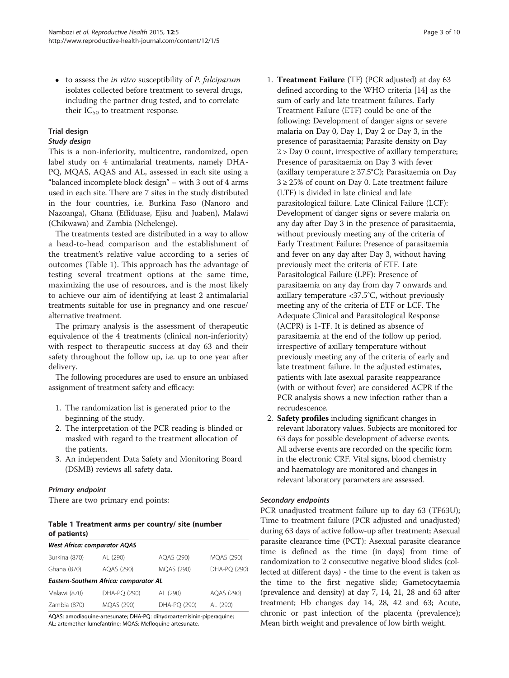$\bullet$  to assess the *in vitro* susceptibility of *P. falciparum* isolates collected before treatment to several drugs, including the partner drug tested, and to correlate their  $IC_{50}$  to treatment response.

## Trial design

## Study design

This is a non-inferiority, multicentre, randomized, open label study on 4 antimalarial treatments, namely DHA-PQ, MQAS, AQAS and AL, assessed in each site using a "balanced incomplete block design" – with 3 out of 4 arms used in each site. There are 7 sites in the study distributed in the four countries, i.e. Burkina Faso (Nanoro and Nazoanga), Ghana (Effiduase, Ejisu and Juaben), Malawi (Chikwawa) and Zambia (Nchelenge).

The treatments tested are distributed in a way to allow a head-to-head comparison and the establishment of the treatment's relative value according to a series of outcomes (Table 1). This approach has the advantage of testing several treatment options at the same time, maximizing the use of resources, and is the most likely to achieve our aim of identifying at least 2 antimalarial treatments suitable for use in pregnancy and one rescue/ alternative treatment.

The primary analysis is the assessment of therapeutic equivalence of the 4 treatments (clinical non-inferiority) with respect to therapeutic success at day 63 and their safety throughout the follow up, i.e. up to one year after delivery.

The following procedures are used to ensure an unbiased assignment of treatment safety and efficacy:

- 1. The randomization list is generated prior to the beginning of the study.
- 2. The interpretation of the PCR reading is blinded or masked with regard to the treatment allocation of the patients.
- 3. An independent Data Safety and Monitoring Board (DSMB) reviews all safety data.

## Primary endpoint

There are two primary end points:

## Table 1 Treatment arms per country/ site (number of patients)

| <b>West Africa: comparator AQAS</b>    |                   |                   |                   |  |  |  |  |
|----------------------------------------|-------------------|-------------------|-------------------|--|--|--|--|
| Burkina (870)                          | AL (290)          | AOAS (290)        | <b>MQAS (290)</b> |  |  |  |  |
| Ghana (870)                            | AQAS (290)        | <b>MOAS (290)</b> | DHA-PO (290)      |  |  |  |  |
| Eastern-Southern Africa: comparator AL |                   |                   |                   |  |  |  |  |
| Malawi (870)                           | DHA-PO (290)      | AL (290)          | AQAS (290)        |  |  |  |  |
| Zambia (870)                           | <b>MQAS (290)</b> | DHA-PQ (290)      | AL (290)          |  |  |  |  |

AQAS: amodiaquine-artesunate; DHA-PQ: dihydroartemisinin-piperaquine; AL: artemether-lumefantrine; MQAS: Mefloquine-artesunate.

- 1. Treatment Failure (TF) (PCR adjusted) at day 63 defined according to the WHO criteria [[14\]](#page-9-0) as the sum of early and late treatment failures. Early Treatment Failure (ETF) could be one of the following: Development of danger signs or severe malaria on Day 0, Day 1, Day 2 or Day 3, in the presence of parasitaemia; Parasite density on Day 2 > Day 0 count, irrespective of axillary temperature; Presence of parasitaemia on Day 3 with fever (axillary temperature ≥ 37.5°C); Parasitaemia on Day  $3 \geq 25\%$  of count on Day 0. Late treatment failure (LTF) is divided in late clinical and late parasitological failure. Late Clinical Failure (LCF): Development of danger signs or severe malaria on any day after Day 3 in the presence of parasitaemia, without previously meeting any of the criteria of Early Treatment Failure; Presence of parasitaemia and fever on any day after Day 3, without having previously meet the criteria of ETF. Late Parasitological Failure (LPF): Presence of parasitaemia on any day from day 7 onwards and axillary temperature <37.5°C, without previously meeting any of the criteria of ETF or LCF. The Adequate Clinical and Parasitological Response (ACPR) is 1-TF. It is defined as absence of parasitaemia at the end of the follow up period, irrespective of axillary temperature without previously meeting any of the criteria of early and late treatment failure. In the adjusted estimates, patients with late asexual parasite reappearance (with or without fever) are considered ACPR if the PCR analysis shows a new infection rather than a recrudescence.
- 2. Safety profiles including significant changes in relevant laboratory values. Subjects are monitored for 63 days for possible development of adverse events. All adverse events are recorded on the specific form in the electronic CRF. Vital signs, blood chemistry and haematology are monitored and changes in relevant laboratory parameters are assessed.

## Secondary endpoints

PCR unadjusted treatment failure up to day 63 (TF63U); Time to treatment failure (PCR adjusted and unadjusted) during 63 days of active follow-up after treatment; Asexual parasite clearance time (PCT): Asexual parasite clearance time is defined as the time (in days) from time of randomization to 2 consecutive negative blood slides (collected at different days) - the time to the event is taken as the time to the first negative slide; Gametocytaemia (prevalence and density) at day 7, 14, 21, 28 and 63 after treatment; Hb changes day 14, 28, 42 and 63; Acute, chronic or past infection of the placenta (prevalence); Mean birth weight and prevalence of low birth weight.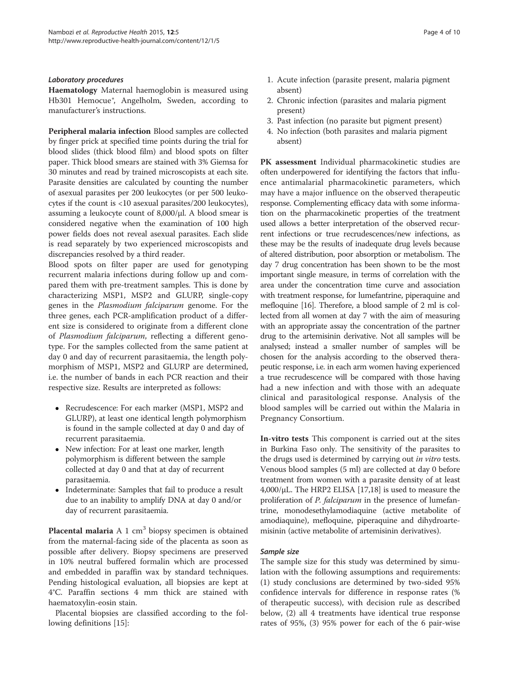#### Laboratory procedures

Haematology Maternal haemoglobin is measured using Hb301 Hemocue<sup>®</sup>, Angelholm, Sweden, according to manufacturer's instructions.

Peripheral malaria infection Blood samples are collected by finger prick at specified time points during the trial for blood slides (thick blood film) and blood spots on filter paper. Thick blood smears are stained with 3% Giemsa for 30 minutes and read by trained microscopists at each site. Parasite densities are calculated by counting the number of asexual parasites per 200 leukocytes (or per 500 leukocytes if the count is <10 asexual parasites/200 leukocytes), assuming a leukocyte count of 8,000/μl. A blood smear is considered negative when the examination of 100 high power fields does not reveal asexual parasites. Each slide is read separately by two experienced microscopists and discrepancies resolved by a third reader.

Blood spots on filter paper are used for genotyping recurrent malaria infections during follow up and compared them with pre-treatment samples. This is done by characterizing MSP1, MSP2 and GLURP, single-copy genes in the Plasmodium falciparum genome. For the three genes, each PCR-amplification product of a different size is considered to originate from a different clone of Plasmodium falciparum, reflecting a different genotype. For the samples collected from the same patient at day 0 and day of recurrent parasitaemia, the length polymorphism of MSP1, MSP2 and GLURP are determined, i.e. the number of bands in each PCR reaction and their respective size. Results are interpreted as follows:

- Recrudescence: For each marker (MSP1, MSP2 and GLURP), at least one identical length polymorphism is found in the sample collected at day 0 and day of recurrent parasitaemia.
- New infection: For at least one marker, length polymorphism is different between the sample collected at day 0 and that at day of recurrent parasitaemia.
- Indeterminate: Samples that fail to produce a result due to an inability to amplify DNA at day 0 and/or day of recurrent parasitaemia.

**Placental malaria** A 1  $\text{cm}^3$  biopsy specimen is obtained from the maternal-facing side of the placenta as soon as possible after delivery. Biopsy specimens are preserved in 10% neutral buffered formalin which are processed and embedded in paraffin wax by standard techniques. Pending histological evaluation, all biopsies are kept at 4°C. Paraffin sections 4 mm thick are stained with haematoxylin-eosin stain.

Placental biopsies are classified according to the following definitions [\[15\]](#page-9-0):

- 1. Acute infection (parasite present, malaria pigment absent)
- 2. Chronic infection (parasites and malaria pigment present)
- 3. Past infection (no parasite but pigment present)
- 4. No infection (both parasites and malaria pigment absent)

PK assessment Individual pharmacokinetic studies are often underpowered for identifying the factors that influence antimalarial pharmacokinetic parameters, which may have a major influence on the observed therapeutic response. Complementing efficacy data with some information on the pharmacokinetic properties of the treatment used allows a better interpretation of the observed recurrent infections or true recrudescences/new infections, as these may be the results of inadequate drug levels because of altered distribution, poor absorption or metabolism. The day 7 drug concentration has been shown to be the most important single measure, in terms of correlation with the area under the concentration time curve and association with treatment response, for lumefantrine, piperaquine and mefloquine [\[16\]](#page-9-0). Therefore, a blood sample of 2 ml is collected from all women at day 7 with the aim of measuring with an appropriate assay the concentration of the partner drug to the artemisinin derivative. Not all samples will be analysed; instead a smaller number of samples will be chosen for the analysis according to the observed therapeutic response, i.e. in each arm women having experienced a true recrudescence will be compared with those having had a new infection and with those with an adequate clinical and parasitological response. Analysis of the blood samples will be carried out within the Malaria in Pregnancy Consortium.

In-vitro tests This component is carried out at the sites in Burkina Faso only. The sensitivity of the parasites to the drugs used is determined by carrying out in vitro tests. Venous blood samples (5 ml) are collected at day 0 before treatment from women with a parasite density of at least 4,000/μL. The HRP2 ELISA [[17,18\]](#page-9-0) is used to measure the proliferation of *P. falciparum* in the presence of lumefantrine, monodesethylamodiaquine (active metabolite of amodiaquine), mefloquine, piperaquine and dihydroartemisinin (active metabolite of artemisinin derivatives).

## Sample size

The sample size for this study was determined by simulation with the following assumptions and requirements: (1) study conclusions are determined by two-sided 95% confidence intervals for difference in response rates (% of therapeutic success), with decision rule as described below, (2) all 4 treatments have identical true response rates of 95%, (3) 95% power for each of the 6 pair-wise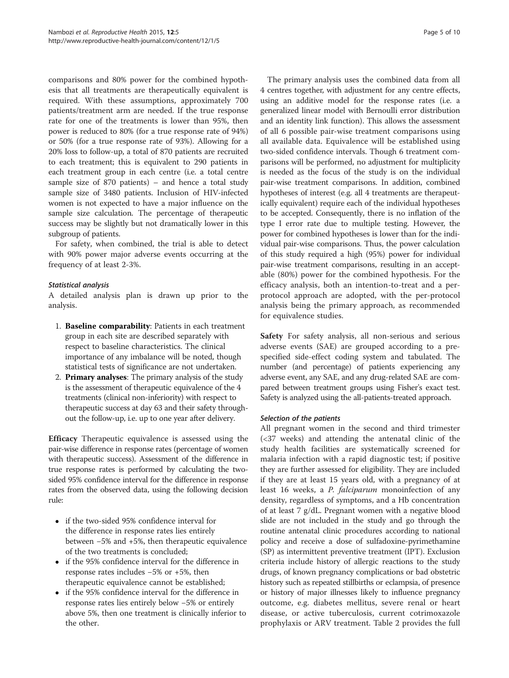comparisons and 80% power for the combined hypothesis that all treatments are therapeutically equivalent is required. With these assumptions, approximately 700 patients/treatment arm are needed. If the true response rate for one of the treatments is lower than 95%, then power is reduced to 80% (for a true response rate of 94%) or 50% (for a true response rate of 93%). Allowing for a 20% loss to follow-up, a total of 870 patients are recruited to each treatment; this is equivalent to 290 patients in each treatment group in each centre (i.e. a total centre sample size of 870 patients) – and hence a total study sample size of 3480 patients. Inclusion of HIV-infected women is not expected to have a major influence on the sample size calculation. The percentage of therapeutic success may be slightly but not dramatically lower in this subgroup of patients.

For safety, when combined, the trial is able to detect with 90% power major adverse events occurring at the frequency of at least 2-3%.

## Statistical analysis

A detailed analysis plan is drawn up prior to the analysis.

- 1. Baseline comparability: Patients in each treatment group in each site are described separately with respect to baseline characteristics. The clinical importance of any imbalance will be noted, though statistical tests of significance are not undertaken.
- 2. Primary analyses: The primary analysis of the study is the assessment of therapeutic equivalence of the 4 treatments (clinical non-inferiority) with respect to therapeutic success at day 63 and their safety throughout the follow-up, i.e. up to one year after delivery.

Efficacy Therapeutic equivalence is assessed using the pair-wise difference in response rates (percentage of women with therapeutic success). Assessment of the difference in true response rates is performed by calculating the twosided 95% confidence interval for the difference in response rates from the observed data, using the following decision rule:

- if the two-sided 95% confidence interval for the difference in response rates lies entirely between −5% and +5%, then therapeutic equivalence of the two treatments is concluded;
- if the 95% confidence interval for the difference in response rates includes −5% or +5%, then therapeutic equivalence cannot be established;
- if the 95% confidence interval for the difference in response rates lies entirely below −5% or entirely above 5%, then one treatment is clinically inferior to the other.

The primary analysis uses the combined data from all 4 centres together, with adjustment for any centre effects, using an additive model for the response rates (i.e. a generalized linear model with Bernoulli error distribution and an identity link function). This allows the assessment of all 6 possible pair-wise treatment comparisons using all available data. Equivalence will be established using two-sided confidence intervals. Though 6 treatment comparisons will be performed, no adjustment for multiplicity is needed as the focus of the study is on the individual pair-wise treatment comparisons. In addition, combined hypotheses of interest (e.g. all 4 treatments are therapeutically equivalent) require each of the individual hypotheses to be accepted. Consequently, there is no inflation of the type I error rate due to multiple testing. However, the power for combined hypotheses is lower than for the individual pair-wise comparisons. Thus, the power calculation of this study required a high (95%) power for individual pair-wise treatment comparisons, resulting in an acceptable (80%) power for the combined hypothesis. For the efficacy analysis, both an intention-to-treat and a perprotocol approach are adopted, with the per-protocol analysis being the primary approach, as recommended for equivalence studies.

Safety For safety analysis, all non-serious and serious adverse events (SAE) are grouped according to a prespecified side-effect coding system and tabulated. The number (and percentage) of patients experiencing any adverse event, any SAE, and any drug-related SAE are compared between treatment groups using Fisher's exact test. Safety is analyzed using the all-patients-treated approach.

## Selection of the patients

All pregnant women in the second and third trimester (<37 weeks) and attending the antenatal clinic of the study health facilities are systematically screened for malaria infection with a rapid diagnostic test; if positive they are further assessed for eligibility. They are included if they are at least 15 years old, with a pregnancy of at least 16 weeks, a *P. falciparum* monoinfection of any density, regardless of symptoms, and a Hb concentration of at least 7 g/dL. Pregnant women with a negative blood slide are not included in the study and go through the routine antenatal clinic procedures according to national policy and receive a dose of sulfadoxine-pyrimethamine (SP) as intermittent preventive treatment (IPT). Exclusion criteria include history of allergic reactions to the study drugs, of known pregnancy complications or bad obstetric history such as repeated stillbirths or eclampsia, of presence or history of major illnesses likely to influence pregnancy outcome, e.g. diabetes mellitus, severe renal or heart disease, or active tuberculosis, current cotrimoxazole prophylaxis or ARV treatment. Table [2](#page-5-0) provides the full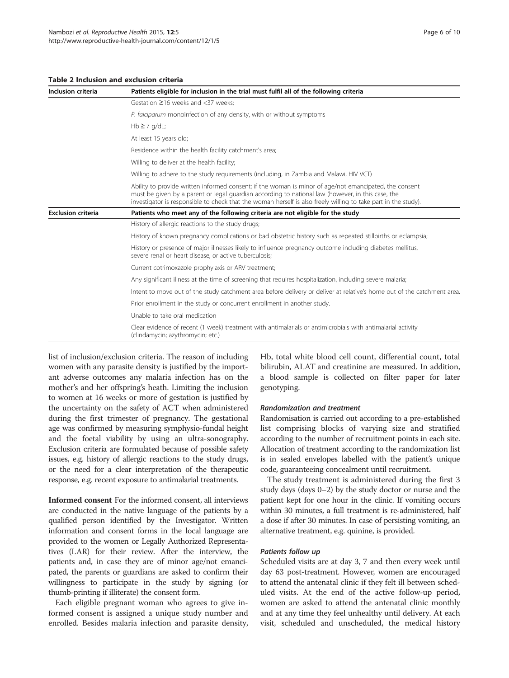#### <span id="page-5-0"></span>Table 2 Inclusion and exclusion criteria

| Inclusion criteria        | Patients eligible for inclusion in the trial must fulfil all of the following criteria                                                                                                                                                                                                                                        |  |  |  |  |  |  |  |  |  |
|---------------------------|-------------------------------------------------------------------------------------------------------------------------------------------------------------------------------------------------------------------------------------------------------------------------------------------------------------------------------|--|--|--|--|--|--|--|--|--|
|                           | Gestation $\geq$ 16 weeks and <37 weeks:                                                                                                                                                                                                                                                                                      |  |  |  |  |  |  |  |  |  |
|                           | P. falciparum monoinfection of any density, with or without symptoms                                                                                                                                                                                                                                                          |  |  |  |  |  |  |  |  |  |
|                           | $Hb \geq 7$ g/dL;                                                                                                                                                                                                                                                                                                             |  |  |  |  |  |  |  |  |  |
|                           | At least 15 years old;                                                                                                                                                                                                                                                                                                        |  |  |  |  |  |  |  |  |  |
|                           | Residence within the health facility catchment's area;                                                                                                                                                                                                                                                                        |  |  |  |  |  |  |  |  |  |
|                           | Willing to deliver at the health facility;                                                                                                                                                                                                                                                                                    |  |  |  |  |  |  |  |  |  |
|                           | Willing to adhere to the study reguirements (including, in Zambia and Malawi, HIV VCT)                                                                                                                                                                                                                                        |  |  |  |  |  |  |  |  |  |
|                           | Ability to provide written informed consent; if the woman is minor of age/not emancipated, the consent<br>must be given by a parent or legal guardian according to national law (however, in this case, the<br>investigator is responsible to check that the woman herself is also freely willing to take part in the study). |  |  |  |  |  |  |  |  |  |
| <b>Exclusion criteria</b> | Patients who meet any of the following criteria are not eligible for the study                                                                                                                                                                                                                                                |  |  |  |  |  |  |  |  |  |
|                           | History of allergic reactions to the study drugs;                                                                                                                                                                                                                                                                             |  |  |  |  |  |  |  |  |  |
|                           | History of known pregnancy complications or bad obstetric history such as repeated stillbirths or eclampsia;                                                                                                                                                                                                                  |  |  |  |  |  |  |  |  |  |
|                           | History or presence of major illnesses likely to influence pregnancy outcome including diabetes mellitus,<br>severe renal or heart disease, or active tuberculosis;                                                                                                                                                           |  |  |  |  |  |  |  |  |  |
|                           | Current cotrimoxazole prophylaxis or ARV treatment;                                                                                                                                                                                                                                                                           |  |  |  |  |  |  |  |  |  |
|                           | Any significant illness at the time of screening that requires hospitalization, including severe malaria;                                                                                                                                                                                                                     |  |  |  |  |  |  |  |  |  |
|                           | Intent to move out of the study catchment area before delivery or deliver at relative's home out of the catchment area.                                                                                                                                                                                                       |  |  |  |  |  |  |  |  |  |
|                           | Prior enrollment in the study or concurrent enrollment in another study.                                                                                                                                                                                                                                                      |  |  |  |  |  |  |  |  |  |
|                           | Unable to take oral medication                                                                                                                                                                                                                                                                                                |  |  |  |  |  |  |  |  |  |
|                           | Clear evidence of recent (1 week) treatment with antimalarials or antimicrobials with antimalarial activity<br>(clindamycin; azythromycin; etc.)                                                                                                                                                                              |  |  |  |  |  |  |  |  |  |

list of inclusion/exclusion criteria. The reason of including women with any parasite density is justified by the important adverse outcomes any malaria infection has on the mother's and her offspring's heath. Limiting the inclusion to women at 16 weeks or more of gestation is justified by the uncertainty on the safety of ACT when administered during the first trimester of pregnancy. The gestational age was confirmed by measuring symphysio-fundal height and the foetal viability by using an ultra-sonography. Exclusion criteria are formulated because of possible safety issues, e.g. history of allergic reactions to the study drugs, or the need for a clear interpretation of the therapeutic response, e.g. recent exposure to antimalarial treatments.

Informed consent For the informed consent, all interviews are conducted in the native language of the patients by a qualified person identified by the Investigator. Written information and consent forms in the local language are provided to the women or Legally Authorized Representatives (LAR) for their review. After the interview, the patients and, in case they are of minor age/not emancipated, the parents or guardians are asked to confirm their willingness to participate in the study by signing (or thumb-printing if illiterate) the consent form.

Each eligible pregnant woman who agrees to give informed consent is assigned a unique study number and enrolled. Besides malaria infection and parasite density, Hb, total white blood cell count, differential count, total bilirubin, ALAT and creatinine are measured. In addition, a blood sample is collected on filter paper for later genotyping.

#### Randomization and treatment

Randomisation is carried out according to a pre-established list comprising blocks of varying size and stratified according to the number of recruitment points in each site. Allocation of treatment according to the randomization list is in sealed envelopes labelled with the patient's unique code, guaranteeing concealment until recruitment.

The study treatment is administered during the first 3 study days (days 0–2) by the study doctor or nurse and the patient kept for one hour in the clinic. If vomiting occurs within 30 minutes, a full treatment is re-administered, half a dose if after 30 minutes. In case of persisting vomiting, an alternative treatment, e.g. quinine, is provided.

#### Patients follow up

Scheduled visits are at day 3, 7 and then every week until day 63 post-treatment. However, women are encouraged to attend the antenatal clinic if they felt ill between scheduled visits. At the end of the active follow-up period, women are asked to attend the antenatal clinic monthly and at any time they feel unhealthy until delivery. At each visit, scheduled and unscheduled, the medical history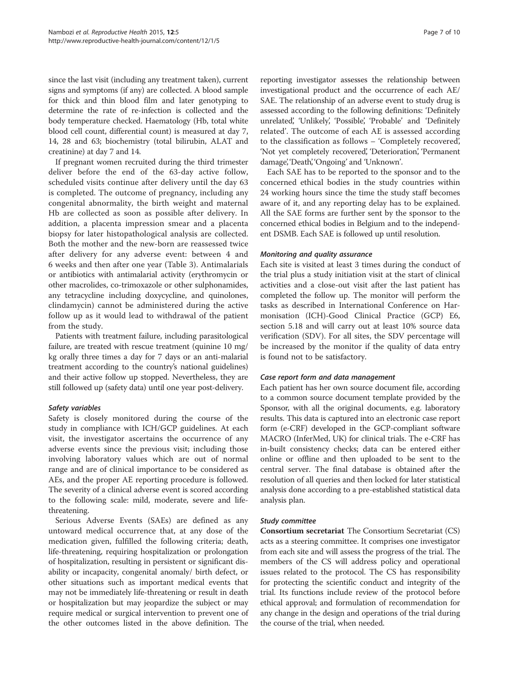since the last visit (including any treatment taken), current signs and symptoms (if any) are collected. A blood sample for thick and thin blood film and later genotyping to determine the rate of re-infection is collected and the body temperature checked. Haematology (Hb, total white blood cell count, differential count) is measured at day 7, 14, 28 and 63; biochemistry (total bilirubin, ALAT and creatinine) at day 7 and 14.

If pregnant women recruited during the third trimester deliver before the end of the 63-day active follow, scheduled visits continue after delivery until the day 63 is completed. The outcome of pregnancy, including any congenital abnormality, the birth weight and maternal Hb are collected as soon as possible after delivery. In addition, a placenta impression smear and a placenta biopsy for later histopathological analysis are collected. Both the mother and the new-born are reassessed twice after delivery for any adverse event: between 4 and 6 weeks and then after one year (Table [3](#page-7-0)). Antimalarials or antibiotics with antimalarial activity (erythromycin or other macrolides, co-trimoxazole or other sulphonamides, any tetracycline including doxycycline, and quinolones, clindamycin) cannot be administered during the active follow up as it would lead to withdrawal of the patient from the study.

Patients with treatment failure, including parasitological failure, are treated with rescue treatment (quinine 10 mg/ kg orally three times a day for 7 days or an anti-malarial treatment according to the country's national guidelines) and their active follow up stopped. Nevertheless, they are still followed up (safety data) until one year post-delivery.

## Safety variables

Safety is closely monitored during the course of the study in compliance with ICH/GCP guidelines. At each visit, the investigator ascertains the occurrence of any adverse events since the previous visit; including those involving laboratory values which are out of normal range and are of clinical importance to be considered as AEs, and the proper AE reporting procedure is followed. The severity of a clinical adverse event is scored according to the following scale: mild, moderate, severe and lifethreatening.

Serious Adverse Events (SAEs) are defined as any untoward medical occurrence that, at any dose of the medication given, fulfilled the following criteria; death, life-threatening, requiring hospitalization or prolongation of hospitalization, resulting in persistent or significant disability or incapacity, congenital anomaly/ birth defect, or other situations such as important medical events that may not be immediately life-threatening or result in death or hospitalization but may jeopardize the subject or may require medical or surgical intervention to prevent one of the other outcomes listed in the above definition. The reporting investigator assesses the relationship between investigational product and the occurrence of each AE/ SAE. The relationship of an adverse event to study drug is assessed according to the following definitions: 'Definitely unrelated', 'Unlikely', 'Possible', 'Probable' and 'Definitely related'. The outcome of each AE is assessed according to the classification as follows – 'Completely recovered', 'Not yet completely recovered', 'Deterioration', 'Permanent damage', 'Death', 'Ongoing' and 'Unknown'.

Each SAE has to be reported to the sponsor and to the concerned ethical bodies in the study countries within 24 working hours since the time the study staff becomes aware of it, and any reporting delay has to be explained. All the SAE forms are further sent by the sponsor to the concerned ethical bodies in Belgium and to the independent DSMB. Each SAE is followed up until resolution.

## Monitoring and quality assurance

Each site is visited at least 3 times during the conduct of the trial plus a study initiation visit at the start of clinical activities and a close-out visit after the last patient has completed the follow up. The monitor will perform the tasks as described in International Conference on Harmonisation (ICH)-Good Clinical Practice (GCP) E6, section 5.18 and will carry out at least 10% source data verification (SDV). For all sites, the SDV percentage will be increased by the monitor if the quality of data entry is found not to be satisfactory.

#### Case report form and data management

Each patient has her own source document file, according to a common source document template provided by the Sponsor, with all the original documents, e.g. laboratory results. This data is captured into an electronic case report form (e-CRF) developed in the GCP-compliant software MACRO (InferMed, UK) for clinical trials. The e-CRF has in-built consistency checks; data can be entered either online or offline and then uploaded to be sent to the central server. The final database is obtained after the resolution of all queries and then locked for later statistical analysis done according to a pre-established statistical data analysis plan.

## Study committee

Consortium secretariat The Consortium Secretariat (CS) acts as a steering committee. It comprises one investigator from each site and will assess the progress of the trial. The members of the CS will address policy and operational issues related to the protocol. The CS has responsibility for protecting the scientific conduct and integrity of the trial. Its functions include review of the protocol before ethical approval; and formulation of recommendation for any change in the design and operations of the trial during the course of the trial, when needed.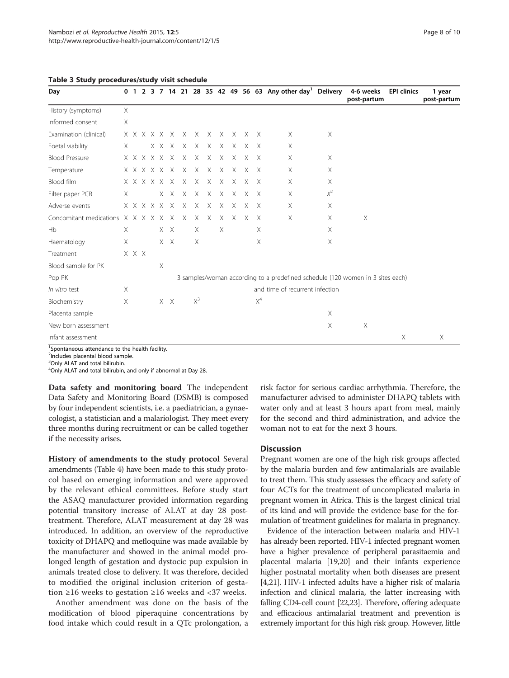<span id="page-7-0"></span>

|  |  | Table 3 Study procedures/study visit schedule |  |  |
|--|--|-----------------------------------------------|--|--|
|--|--|-----------------------------------------------|--|--|

| Day                                   |          |       |                         |             |               |                       |              |          |          |          |              | 0 1 2 3 7 14 21 28 35 42 49 56 63 Any other day <sup>1</sup> Delivery          |          | 4-6 weeks<br>post-partum | <b>EPI clinics</b>        | 1 year<br>post-partum |
|---------------------------------------|----------|-------|-------------------------|-------------|---------------|-----------------------|--------------|----------|----------|----------|--------------|--------------------------------------------------------------------------------|----------|--------------------------|---------------------------|-----------------------|
| History (symptoms)                    | X        |       |                         |             |               |                       |              |          |          |          |              |                                                                                |          |                          |                           |                       |
| Informed consent                      | $\times$ |       |                         |             |               |                       |              |          |          |          |              |                                                                                |          |                          |                           |                       |
| Examination (clinical)                |          |       |                         |             |               | x x x x x x x x x x x |              |          |          | X X      |              | X                                                                              | $\times$ |                          |                           |                       |
| Foetal viability                      | X        |       |                         |             | XXXX          | $\mathsf{X}$          | $\times$     | $\times$ | $\times$ | $\times$ | $\mathsf{X}$ | X                                                                              |          |                          |                           |                       |
| <b>Blood Pressure</b>                 |          |       |                         | x x x x x x | $\mathsf{X}$  | $\times$              | $\times$     | X        | X        | X        | X            | X                                                                              | X        |                          |                           |                       |
| Temperature                           |          |       |                         |             |               | X X X X X X X X X X   |              |          | $\times$ | $\times$ | $\mathsf{X}$ | Χ                                                                              | Χ        |                          |                           |                       |
| Blood film                            |          |       |                         |             | x x x x x x x | $\times$              | $\times$     | $\times$ | $\times$ | $\times$ | $\mathsf{X}$ | X                                                                              | X        |                          |                           |                       |
| Filter paper PCR                      | Χ        |       |                         |             |               | X X X X X X           |              |          | $\times$ | X X      |              | X                                                                              | $\chi^2$ |                          |                           |                       |
| Adverse events                        |          |       | $X$ $X$ $X$ $X$ $X$ $X$ |             | $\times$      | $\times$              | $\times$     | X        | X        | X        | $\times$     | Χ                                                                              | X        |                          |                           |                       |
| Concomitant medications X X X X X X X |          |       |                         |             |               |                       | $X \times X$ | $\times$ | $\times$ | $\times$ | X            | Χ                                                                              | X        | X                        |                           |                       |
| Hb                                    | $\times$ |       |                         | X X         |               | X                     |              | $\times$ |          |          | $\times$     |                                                                                | $\times$ |                          |                           |                       |
| Haematology                           | X        |       |                         | $X$ $X$     |               | X                     |              |          |          |          | X            |                                                                                | X        |                          |                           |                       |
| Treatment                             |          | X X X |                         |             |               |                       |              |          |          |          |              |                                                                                |          |                          |                           |                       |
| Blood sample for PK                   |          |       | Χ                       |             |               |                       |              |          |          |          |              |                                                                                |          |                          |                           |                       |
| Pop PK                                |          |       |                         |             |               |                       |              |          |          |          |              | 3 samples/woman according to a predefined schedule (120 women in 3 sites each) |          |                          |                           |                       |
| In vitro test                         | X        |       |                         |             |               |                       |              |          |          |          |              | and time of recurrent infection                                                |          |                          |                           |                       |
| Biochemistry                          | X        |       |                         | $X$ $X$     |               | $X^3$                 |              |          |          |          | $X^4$        |                                                                                |          |                          |                           |                       |
| Placenta sample                       |          |       |                         |             |               |                       |              |          |          |          |              |                                                                                | Χ        |                          |                           |                       |
| New born assessment                   |          |       |                         |             |               |                       |              |          |          |          |              |                                                                                | $\times$ | $\times$                 |                           |                       |
| Infant assessment                     |          |       |                         |             |               |                       |              |          |          |          |              |                                                                                |          |                          | $\boldsymbol{\mathsf{X}}$ | X                     |

<sup>1</sup> Spontaneous attendance to the health facility.

<sup>2</sup>Includes placental blood sample.

<sup>3</sup>Only ALAT and total bilirubin.

4 Only ALAT and total bilirubin, and only if abnormal at Day 28.

Data safety and monitoring board The independent Data Safety and Monitoring Board (DSMB) is composed by four independent scientists, i.e. a paediatrician, a gynaecologist, a statistician and a malariologist. They meet every three months during recruitment or can be called together if the necessity arises.

History of amendments to the study protocol Several amendments (Table [4](#page-8-0)) have been made to this study protocol based on emerging information and were approved by the relevant ethical committees. Before study start the ASAQ manufacturer provided information regarding potential transitory increase of ALAT at day 28 posttreatment. Therefore, ALAT measurement at day 28 was introduced. In addition, an overview of the reproductive toxicity of DHAPQ and mefloquine was made available by the manufacturer and showed in the animal model prolonged length of gestation and dystocic pup expulsion in animals treated close to delivery. It was therefore, decided to modified the original inclusion criterion of gestation ≥16 weeks to gestation ≥16 weeks and <37 weeks.

Another amendment was done on the basis of the modification of blood piperaquine concentrations by food intake which could result in a QTc prolongation, a risk factor for serious cardiac arrhythmia. Therefore, the manufacturer advised to administer DHAPQ tablets with water only and at least 3 hours apart from meal, mainly for the second and third administration, and advice the woman not to eat for the next 3 hours.

#### Discussion

Pregnant women are one of the high risk groups affected by the malaria burden and few antimalarials are available to treat them. This study assesses the efficacy and safety of four ACTs for the treatment of uncomplicated malaria in pregnant women in Africa. This is the largest clinical trial of its kind and will provide the evidence base for the formulation of treatment guidelines for malaria in pregnancy.

Evidence of the interaction between malaria and HIV-1 has already been reported. HIV-1 infected pregnant women have a higher prevalence of peripheral parasitaemia and placental malaria [[19,20\]](#page-9-0) and their infants experience higher postnatal mortality when both diseases are present [[4,21](#page-9-0)]. HIV-1 infected adults have a higher risk of malaria infection and clinical malaria, the latter increasing with falling CD4-cell count [[22,23\]](#page-9-0). Therefore, offering adequate and efficacious antimalarial treatment and prevention is extremely important for this high risk group. However, little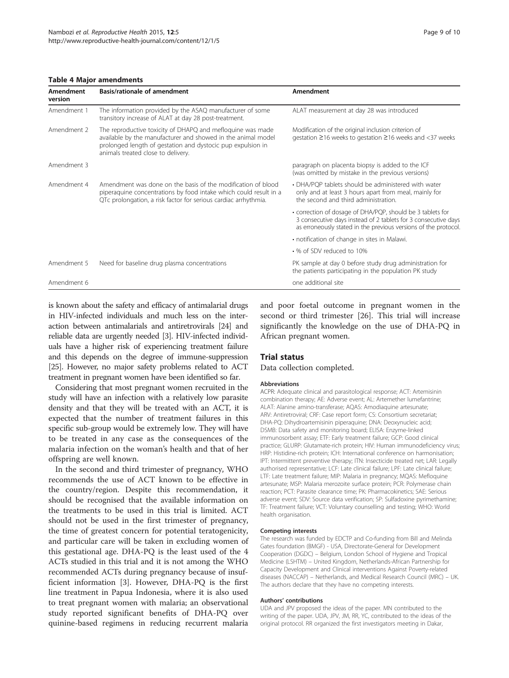#### <span id="page-8-0"></span>Table 4 Major amendments

| Amendment<br>version | Basis/rationale of amendment                                                                                                                                                                                                    | Amendment                                                                                                                                                                                       |
|----------------------|---------------------------------------------------------------------------------------------------------------------------------------------------------------------------------------------------------------------------------|-------------------------------------------------------------------------------------------------------------------------------------------------------------------------------------------------|
| Amendment 1          | The information provided by the ASAQ manufacturer of some<br>transitory increase of ALAT at day 28 post-treatment.                                                                                                              | ALAT measurement at day 28 was introduced                                                                                                                                                       |
| Amendment 2          | The reproductive toxicity of DHAPQ and mefloquine was made<br>available by the manufacturer and showed in the animal model<br>prolonged length of gestation and dystocic pup expulsion in<br>animals treated close to delivery. | Modification of the original inclusion criterion of<br>gestation ≥16 weeks to gestation ≥16 weeks and <37 weeks                                                                                 |
| Amendment 3          |                                                                                                                                                                                                                                 | paragraph on placenta biopsy is added to the ICF<br>(was omitted by mistake in the previous versions)                                                                                           |
| Amendment 4          | Amendment was done on the basis of the modification of blood<br>piperaquine concentrations by food intake which could result in a<br>QTc prolongation, a risk factor for serious cardiac arrhythmia.                            | • DHA/POP tablets should be administered with water<br>only and at least 3 hours apart from meal, mainly for<br>the second and third administration.                                            |
|                      |                                                                                                                                                                                                                                 | • correction of dosage of DHA/PQP, should be 3 tablets for<br>3 consecutive days instead of 2 tablets for 3 consecutive days<br>as erroneously stated in the previous versions of the protocol. |
|                      |                                                                                                                                                                                                                                 | • notification of change in sites in Malawi.                                                                                                                                                    |
|                      |                                                                                                                                                                                                                                 | • % of SDV reduced to 10%                                                                                                                                                                       |
| Amendment 5          | Need for baseline drug plasma concentrations                                                                                                                                                                                    | PK sample at day 0 before study drug administration for<br>the patients participating in the population PK study                                                                                |
| Amendment 6          |                                                                                                                                                                                                                                 | one additional site                                                                                                                                                                             |

is known about the safety and efficacy of antimalarial drugs in HIV-infected individuals and much less on the interaction between antimalarials and antiretrovirals [[24\]](#page-9-0) and reliable data are urgently needed [[3\]](#page-9-0). HIV-infected individuals have a higher risk of experiencing treatment failure and this depends on the degree of immune-suppression [[25](#page-9-0)]. However, no major safety problems related to ACT treatment in pregnant women have been identified so far.

Considering that most pregnant women recruited in the study will have an infection with a relatively low parasite density and that they will be treated with an ACT, it is expected that the number of treatment failures in this specific sub-group would be extremely low. They will have to be treated in any case as the consequences of the malaria infection on the woman's health and that of her offspring are well known.

In the second and third trimester of pregnancy, WHO recommends the use of ACT known to be effective in the country/region. Despite this recommendation, it should be recognised that the available information on the treatments to be used in this trial is limited. ACT should not be used in the first trimester of pregnancy, the time of greatest concern for potential teratogenicity, and particular care will be taken in excluding women of this gestational age. DHA-PQ is the least used of the 4 ACTs studied in this trial and it is not among the WHO recommended ACTs during pregnancy because of insufficient information [[3](#page-9-0)]. However, DHA-PQ is the first line treatment in Papua Indonesia, where it is also used to treat pregnant women with malaria; an observational study reported significant benefits of DHA-PQ over quinine-based regimens in reducing recurrent malaria and poor foetal outcome in pregnant women in the second or third trimester [[26](#page-9-0)]. This trial will increase significantly the knowledge on the use of DHA-PQ in African pregnant women.

#### Trial status

Data collection completed.

#### Abbreviations

ACPR: Adequate clinical and parasitological response; ACT: Artemisinin combination therapy; AE: Adverse event; AL: Artemether lumefantrine; ALAT: Alanine amino-transferase; AQAS: Amodiaquine artesunate; ARV: Antiretroviral; CRF: Case report form; CS: Consortium secretariat; DHA-PQ: Dihydroartemisinin piperaquine; DNA: Deoxynucleic acid; DSMB: Data safety and monitoring board; ELISA: Enzyme-linked immunosorbent assay; ETF: Early treatment failure; GCP: Good clinical practice; GLURP: Glutamate-rich protein; HIV: Human immunodeficiency virus; HRP: Histidine-rich protein; ICH: International conference on harmonisation; IPT: Intermittent preventive therapy; ITN: Insecticide treated net; LAR: Legally authorised representative; LCF: Late clinical failure; LPF: Late clinical failure; LTF: Late treatment failure; MIP: Malaria in pregnancy; MQAS: Mefloquine artesunate; MSP: Malaria merozoite surface protein; PCR: Polymerase chain reaction; PCT: Parasite clearance time; PK: Pharmacokinetics; SAE: Serious adverse event; SDV: Source data verification; SP: Sulfadoxine pyrimethamine; TF: Treatment failure; VCT: Voluntary counselling and testing; WHO: World health organisation.

#### Competing interests

The research was funded by EDCTP and Co-funding from Bill and Melinda Gates foundation (BMGF) - USA, Directorate-General for Development Cooperation (DGDC) – Belgium, London School of Hygiene and Tropical Medicine (LSHTM) – United Kingdom, Netherlands-African Partnership for Capacity Development and Clinical interventions Against Poverty-related diseases (NACCAP) – Netherlands, and Medical Research Council (MRC) – UK. The authors declare that they have no competing interests.

#### Authors' contributions

UDA and JPV proposed the ideas of the paper. MN contributed to the writing of the paper. UDA, JPV, JM, RR, YC, contributed to the ideas of the original protocol. RR organized the first investigators meeting in Dakar,